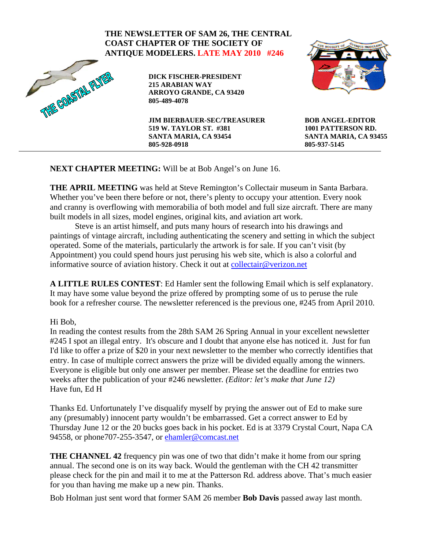## **BOB ANGEL-EDITOR 1001 PATTERSON RD. SANTA MARIA, CA 93455 805-937-5145 THE NEWSLETTER OF SAM 26, THE CENTRAL COAST CHAPTER OF THE SOCIETY OF ANTIQUE MODELERS. LATE MAY 2010 #246**<br>DICK FISCHER-PRESIDENT<br>215 ARABIAN WAY<br>ARROYO GRANDE, CA 93420<br>805-489-4078 **DICK FISCHER-PRESIDENT 215 ARABIAN WAY ARROYO GRANDE, CA 93420 805-489-4078 JIM BIERBAUER-SEC/TREASURER 519 W. TAYLOR ST. #381 SANTA MARIA, CA 93454 805-928-0918**

**NEXT CHAPTER MEETING:** Will be at Bob Angel's on June 16.

**THE APRIL MEETING** was held at Steve Remington's Collectair museum in Santa Barbara. Whether you've been there before or not, there's plenty to occupy your attention. Every nook and cranny is overflowing with memorabilia of both model and full size aircraft. There are many built models in all sizes, model engines, original kits, and aviation art work.

Steve is an artist himself, and puts many hours of research into his drawings and paintings of vintage aircraft, including authenticating the scenery and setting in which the subject operated. Some of the materials, particularly the artwork is for sale. If you can't visit (by Appointment) you could spend hours just perusing his web site, which is also a colorful and informative source of aviation history. Check it out at [collectair@verizon.net](mailto:collectair@verizon.net)

**A LITTLE RULES CONTEST**: Ed Hamler sent the following Email which is self explanatory. It may have some value beyond the prize offered by prompting some of us to peruse the rule book for a refresher course. The newsletter referenced is the previous one, #245 from April 2010.

## Hi Bob,

In reading the contest results from the 28th SAM 26 Spring Annual in your excellent newsletter #245 I spot an illegal entry. It's obscure and I doubt that anyone else has noticed it. Just for fun I'd like to offer a prize of \$20 in your next newsletter to the member who correctly identifies that entry. In case of multiple correct answers the prize will be divided equally among the winners. Everyone is eligible but only one answer per member. Please set the deadline for entries two weeks after the publication of your #246 newsletter*. (Editor: let's make that June 12)*  Have fun, Ed H

Thanks Ed. Unfortunately I've disqualify myself by prying the answer out of Ed to make sure any (presumably) innocent party wouldn't be embarrassed. Get a correct answer to Ed by Thursday June 12 or the 20 bucks goes back in his pocket. Ed is at 3379 Crystal Court, Napa CA 94558, or phone707-255-3547, or [ehamler@comcast.net](mailto:ehamler@comcast.net)

**THE CHANNEL 42** frequency pin was one of two that didn't make it home from our spring annual. The second one is on its way back. Would the gentleman with the CH 42 transmitter please check for the pin and mail it to me at the Patterson Rd. address above. That's much easier for you than having me make up a new pin. Thanks.

Bob Holman just sent word that former SAM 26 member **Bob Davis** passed away last month.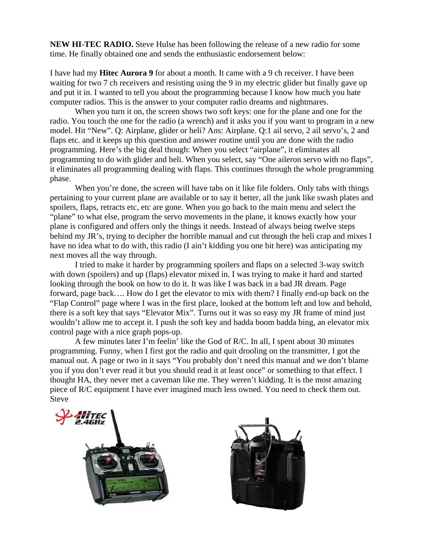**NEW HI-TEC RADIO.** Steve Hulse has been following the release of a new radio for some time. He finally obtained one and sends the enthusiastic endorsement below:

I have had my **Hitec Aurora 9** for about a month. It came with a 9 ch receiver. I have been waiting for two 7 ch receivers and resisting using the 9 in my electric glider but finally gave up and put it in. I wanted to tell you about the programming because I know how much you hate computer radios. This is the answer to your computer radio dreams and nightmares.

When you turn it on, the screen shows two soft keys: one for the plane and one for the radio. You touch the one for the radio (a wrench) and it asks you if you want to program in a new model. Hit "New". Q: Airplane, glider or heli? Ans: Airplane. Q:1 ail servo, 2 ail servo's, 2 and flaps etc. and it keeps up this question and answer routine until you are done with the radio programming. Here's the big deal though: When you select "airplane", it eliminates all programming to do with glider and heli. When you select, say "One aileron servo with no flaps", it eliminates all programming dealing with flaps. This continues through the whole programming phase.

When you're done, the screen will have tabs on it like file folders. Only tabs with things pertaining to your current plane are available or to say it better, all the junk like swash plates and spoilers, flaps, retracts etc, etc are gone. When you go back to the main menu and select the "plane" to what else, program the servo movements in the plane, it knows exactly how your plane is configured and offers only the things it needs. Instead of always being twelve steps behind my JR's, trying to decipher the horrible manual and cut through the heli crap and mixes I have no idea what to do with, this radio (I ain't kidding you one bit here) was anticipating my next moves all the way through.

I tried to make it harder by programming spoilers and flaps on a selected 3-way switch with down (spoilers) and up (flaps) elevator mixed in. I was trying to make it hard and started looking through the book on how to do it. It was like I was back in a bad JR dream. Page forward, page back…. How do I get the elevator to mix with them? I finally end-up back on the "Flap Control" page where I was in the first place, looked at the bottom left and low and behold, there is a soft key that says "Elevator Mix". Turns out it was so easy my JR frame of mind just wouldn't allow me to accept it. I push the soft key and badda boom badda bing, an elevator mix control page with a nice graph pops-up.

A few minutes later I'm feelin' like the God of R/C. In all, I spent about 30 minutes programming. Funny, when I first got the radio and quit drooling on the transmitter, I got the manual out. A page or two in it says "You probably don't need this manual and we don't blame you if you don't ever read it but you should read it at least once" or something to that effect. I thought HA, they never met a caveman like me. They weren't kidding. It is the most amazing piece of R/C equipment I have ever imagined much less owned. You need to check them out. Steve



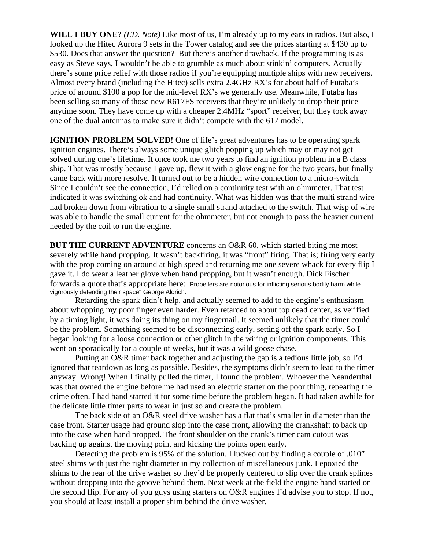**WILL I BUY ONE?** *(ED. Note)* Like most of us, I'm already up to my ears in radios. But also, I looked up the Hitec Aurora 9 sets in the Tower catalog and see the prices starting at \$430 up to \$530. Does that answer the question? But there's another drawback. If the programming is as easy as Steve says, I wouldn't be able to grumble as much about stinkin' computers. Actually there's some price relief with those radios if you're equipping multiple ships with new receivers. Almost every brand (including the Hitec) sells extra 2.4GHz RX's for about half of Futaba's price of around \$100 a pop for the mid-level RX's we generally use. Meanwhile, Futaba has been selling so many of those new R617FS receivers that they're unlikely to drop their price anytime soon. They have come up with a cheaper 2.4MHz "sport" receiver, but they took away one of the dual antennas to make sure it didn't compete with the 617 model.

**IGNITION PROBLEM SOLVED!** One of life's great adventures has to be operating spark ignition engines. There's always some unique glitch popping up which may or may not get solved during one's lifetime. It once took me two years to find an ignition problem in a B class ship. That was mostly because I gave up, flew it with a glow engine for the two years, but finally came back with more resolve. It turned out to be a hidden wire connection to a micro-switch. Since I couldn't see the connection, I'd relied on a continuity test with an ohmmeter. That test indicated it was switching ok and had continuity. What was hidden was that the multi strand wire had broken down from vibration to a single small strand attached to the switch. That wisp of wire was able to handle the small current for the ohmmeter, but not enough to pass the heavier current needed by the coil to run the engine.

**BUT THE CURRENT ADVENTURE** concerns an O&R 60, which started biting me most severely while hand propping. It wasn't backfiring, it was "front" firing. That is; firing very early with the prop coming on around at high speed and returning me one severe whack for every flip I gave it. I do wear a leather glove when hand propping, but it wasn't enough. Dick Fischer forwards a quote that's appropriate here: "Propellers are notorious for inflicting serious bodily harm while vigorously defending their space" George Aldrich.

Retarding the spark didn't help, and actually seemed to add to the engine's enthusiasm about whopping my poor finger even harder. Even retarded to about top dead center, as verified by a timing light, it was doing its thing on my fingernail. It seemed unlikely that the timer could be the problem. Something seemed to be disconnecting early, setting off the spark early. So I began looking for a loose connection or other glitch in the wiring or ignition components. This went on sporadically for a couple of weeks, but it was a wild goose chase.

 Putting an O&R timer back together and adjusting the gap is a tedious little job, so I'd ignored that teardown as long as possible. Besides, the symptoms didn't seem to lead to the timer anyway. Wrong! When I finally pulled the timer, I found the problem. Whoever the Neanderthal was that owned the engine before me had used an electric starter on the poor thing, repeating the crime often. I had hand started it for some time before the problem began. It had taken awhile for the delicate little timer parts to wear in just so and create the problem.

 The back side of an O&R steel drive washer has a flat that's smaller in diameter than the case front. Starter usage had ground slop into the case front, allowing the crankshaft to back up into the case when hand propped. The front shoulder on the crank's timer cam cutout was backing up against the moving point and kicking the points open early.

Detecting the problem is 95% of the solution. I lucked out by finding a couple of .010" steel shims with just the right diameter in my collection of miscellaneous junk. I epoxied the shims to the rear of the drive washer so they'd be properly centered to slip over the crank splines without dropping into the groove behind them. Next week at the field the engine hand started on the second flip. For any of you guys using starters on O&R engines I'd advise you to stop. If not, you should at least install a proper shim behind the drive washer.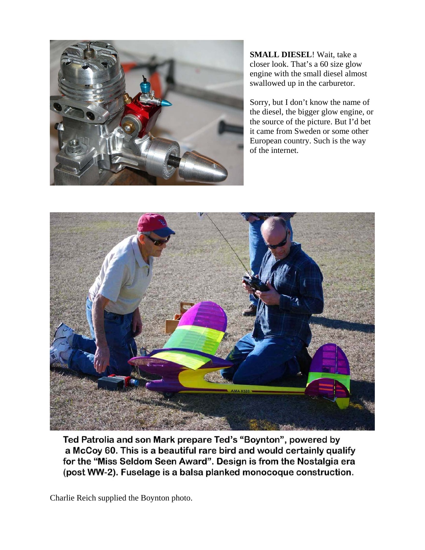

**SMALL DIESEL**! Wait, take a closer look. That's a 60 size glow engine with the small diesel almost swallowed up in the carburetor.

Sorry, but I don't know the name of the diesel, the bigger glow engine, or the source of the picture. But I'd bet it came from Sweden or some other European country. Such is the way of the internet.



Ted Patrolia and son Mark prepare Ted's "Boynton", powered by a McCoy 60. This is a beautiful rare bird and would certainly qualify for the "Miss Seldom Seen Award". Design is from the Nostalgia era (post WW-2). Fuselage is a balsa planked monocoque construction.

Charlie Reich supplied the Boynton photo.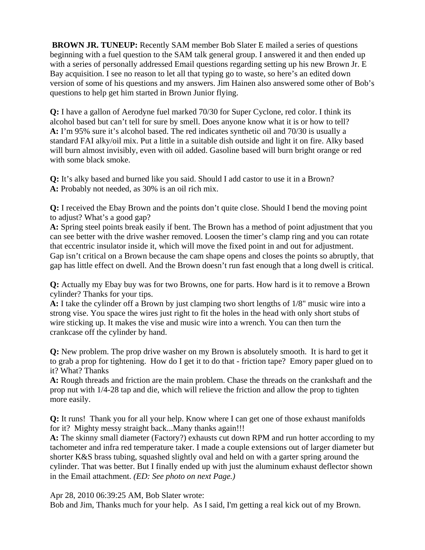**BROWN JR. TUNEUP:** Recently SAM member Bob Slater E mailed a series of questions beginning with a fuel question to the SAM talk general group. I answered it and then ended up with a series of personally addressed Email questions regarding setting up his new Brown Jr. E Bay acquisition. I see no reason to let all that typing go to waste, so here's an edited down version of some of his questions and my answers. Jim Hainen also answered some other of Bob's questions to help get him started in Brown Junior flying.

**Q:** I have a gallon of Aerodyne fuel marked 70/30 for Super Cyclone, red color. I think its alcohol based but can't tell for sure by smell. Does anyone know what it is or how to tell? **A:** I'm 95% sure it's alcohol based. The red indicates synthetic oil and 70/30 is usually a standard FAI alky/oil mix. Put a little in a suitable dish outside and light it on fire. Alky based will burn almost invisibly, even with oil added. Gasoline based will burn bright orange or red with some black smoke.

**Q:** It's alky based and burned like you said. Should I add castor to use it in a Brown? **A:** Probably not needed, as 30% is an oil rich mix.

**Q:** I received the Ebay Brown and the points don't quite close. Should I bend the moving point to adjust? What's a good gap?

**A:** Spring steel points break easily if bent. The Brown has a method of point adjustment that you can see better with the drive washer removed. Loosen the timer's clamp ring and you can rotate that eccentric insulator inside it, which will move the fixed point in and out for adjustment. Gap isn't critical on a Brown because the cam shape opens and closes the points so abruptly, that gap has little effect on dwell. And the Brown doesn't run fast enough that a long dwell is critical.

**Q:** Actually my Ebay buy was for two Browns, one for parts. How hard is it to remove a Brown cylinder? Thanks for your tips.

**A:** I take the cylinder off a Brown by just clamping two short lengths of 1/8" music wire into a strong vise. You space the wires just right to fit the holes in the head with only short stubs of wire sticking up. It makes the vise and music wire into a wrench. You can then turn the crankcase off the cylinder by hand.

**Q:** New problem. The prop drive washer on my Brown is absolutely smooth. It is hard to get it to grab a prop for tightening. How do I get it to do that - friction tape? Emory paper glued on to it? What? Thanks

**A:** Rough threads and friction are the main problem. Chase the threads on the crankshaft and the prop nut with 1/4-28 tap and die, which will relieve the friction and allow the prop to tighten more easily.

**Q:** It runs! Thank you for all your help. Know where I can get one of those exhaust manifolds for it? Mighty messy straight back...Many thanks again!!!

**A:** The skinny small diameter (Factory?) exhausts cut down RPM and run hotter according to my tachometer and infra red temperature taker. I made a couple extensions out of larger diameter but shorter K&S brass tubing, squashed slightly oval and held on with a garter spring around the cylinder. That was better. But I finally ended up with just the aluminum exhaust deflector shown in the Email attachment. *(ED: See photo on next Page.)* 

Apr 28, 2010 06:39:25 AM, Bob Slater wrote:

Bob and Jim, Thanks much for your help. As I said, I'm getting a real kick out of my Brown.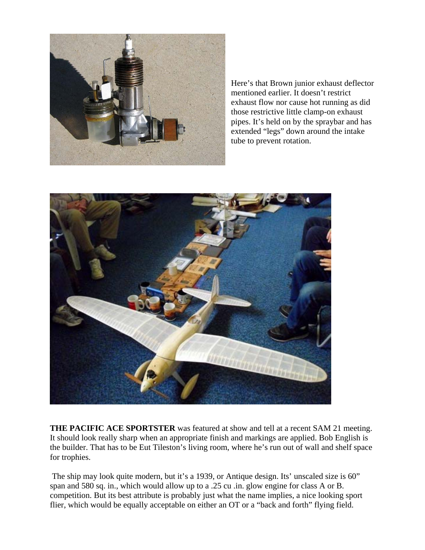

Here's that Brown junior exhaust deflector mentioned earlier. It doesn't restrict exhaust flow nor cause hot running as did those restrictive little clamp-on exhaust pipes. It's held on by the spraybar and has extended "legs" down around the intake tube to prevent rotation.



**THE PACIFIC ACE SPORTSTER** was featured at show and tell at a recent SAM 21 meeting. It should look really sharp when an appropriate finish and markings are applied. Bob English is the builder. That has to be Eut Tileston's living room, where he's run out of wall and shelf space for trophies.

The ship may look quite modern, but it's a 1939, or Antique design. Its' unscaled size is 60" span and 580 sq. in., which would allow up to a .25 cu .in. glow engine for class A or B. competition. But its best attribute is probably just what the name implies, a nice looking sport flier, which would be equally acceptable on either an OT or a "back and forth" flying field.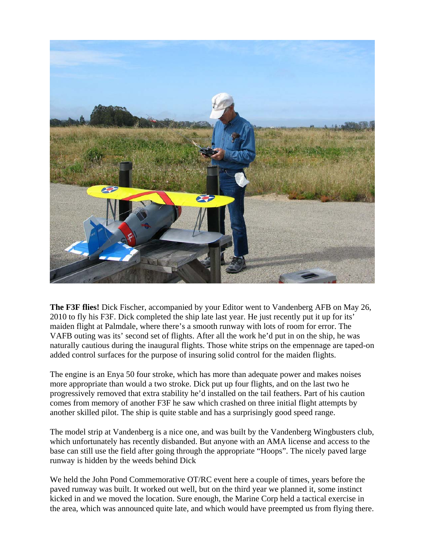

**The F3F flies!** Dick Fischer, accompanied by your Editor went to Vandenberg AFB on May 26, 2010 to fly his F3F. Dick completed the ship late last year. He just recently put it up for its' maiden flight at Palmdale, where there's a smooth runway with lots of room for error. The VAFB outing was its' second set of flights. After all the work he'd put in on the ship, he was naturally cautious during the inaugural flights. Those white strips on the empennage are taped-on added control surfaces for the purpose of insuring solid control for the maiden flights.

The engine is an Enya 50 four stroke, which has more than adequate power and makes noises more appropriate than would a two stroke. Dick put up four flights, and on the last two he progressively removed that extra stability he'd installed on the tail feathers. Part of his caution comes from memory of another F3F he saw which crashed on three initial flight attempts by another skilled pilot. The ship is quite stable and has a surprisingly good speed range.

The model strip at Vandenberg is a nice one, and was built by the Vandenberg Wingbusters club, which unfortunately has recently disbanded. But anyone with an AMA license and access to the base can still use the field after going through the appropriate "Hoops". The nicely paved large runway is hidden by the weeds behind Dick

We held the John Pond Commemorative OT/RC event here a couple of times, years before the paved runway was built. It worked out well, but on the third year we planned it, some instinct kicked in and we moved the location. Sure enough, the Marine Corp held a tactical exercise in the area, which was announced quite late, and which would have preempted us from flying there.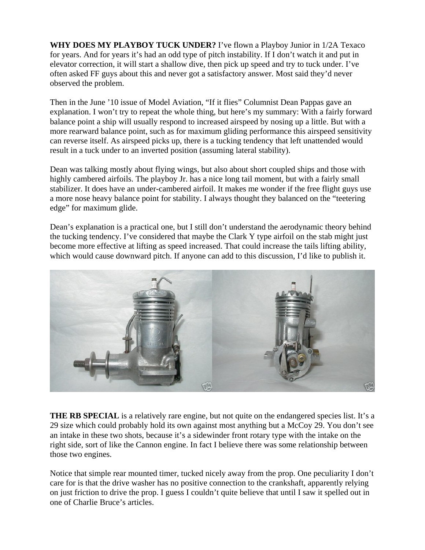**WHY DOES MY PLAYBOY TUCK UNDER?** I've flown a Playboy Junior in 1/2A Texaco for years. And for years it's had an odd type of pitch instability. If I don't watch it and put in elevator correction, it will start a shallow dive, then pick up speed and try to tuck under. I've often asked FF guys about this and never got a satisfactory answer. Most said they'd never observed the problem.

Then in the June '10 issue of Model Aviation, "If it flies" Columnist Dean Pappas gave an explanation. I won't try to repeat the whole thing, but here's my summary: With a fairly forward balance point a ship will usually respond to increased airspeed by nosing up a little. But with a more rearward balance point, such as for maximum gliding performance this airspeed sensitivity can reverse itself. As airspeed picks up, there is a tucking tendency that left unattended would result in a tuck under to an inverted position (assuming lateral stability).

Dean was talking mostly about flying wings, but also about short coupled ships and those with highly cambered airfoils. The playboy Jr. has a nice long tail moment, but with a fairly small stabilizer. It does have an under-cambered airfoil. It makes me wonder if the free flight guys use a more nose heavy balance point for stability. I always thought they balanced on the "teetering edge" for maximum glide.

Dean's explanation is a practical one, but I still don't understand the aerodynamic theory behind the tucking tendency. I've considered that maybe the Clark Y type airfoil on the stab might just become more effective at lifting as speed increased. That could increase the tails lifting ability, which would cause downward pitch. If anyone can add to this discussion, I'd like to publish it.



**THE RB SPECIAL** is a relatively rare engine, but not quite on the endangered species list. It's a 29 size which could probably hold its own against most anything but a McCoy 29. You don't see an intake in these two shots, because it's a sidewinder front rotary type with the intake on the right side, sort of like the Cannon engine. In fact I believe there was some relationship between those two engines.

Notice that simple rear mounted timer, tucked nicely away from the prop. One peculiarity I don't care for is that the drive washer has no positive connection to the crankshaft, apparently relying on just friction to drive the prop. I guess I couldn't quite believe that until I saw it spelled out in one of Charlie Bruce's articles.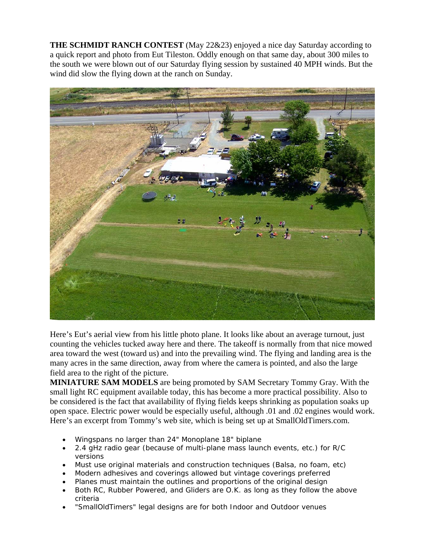**THE SCHMIDT RANCH CONTEST** (May 22&23) enjoyed a nice day Saturday according to a quick report and photo from Eut Tileston. Oddly enough on that same day, about 300 miles to the south we were blown out of our Saturday flying session by sustained 40 MPH winds. But the wind did slow the flying down at the ranch on Sunday.



Here's Eut's aerial view from his little photo plane. It looks like about an average turnout, just counting the vehicles tucked away here and there. The takeoff is normally from that nice mowed area toward the west (toward us) and into the prevailing wind. The flying and landing area is the many acres in the same direction, away from where the camera is pointed, and also the large field area to the right of the picture.

**MINIATURE SAM MODELS** are being promoted by SAM Secretary Tommy Gray. With the small light RC equipment available today, this has become a more practical possibility. Also to be considered is the fact that availability of flying fields keeps shrinking as population soaks up open space. Electric power would be especially useful, although .01 and .02 engines would work. Here's an excerpt from Tommy's web site, which is being set up at SmallOldTimers.com.

- Wingspans no larger than 24" Monoplane 18" biplane
- 2.4 gHz radio gear (because of multi-plane mass launch events, etc.) for R/C versions
- Must use original materials and construction techniques (Balsa, no foam, etc)
- Modern adhesives and coverings allowed but vintage coverings preferred
- Planes must maintain the outlines and proportions of the original design
- Both RC, Rubber Powered, and Gliders are O.K. as long as they follow the above criteria
- "SmallOldTimers" legal designs are for both Indoor and Outdoor venues